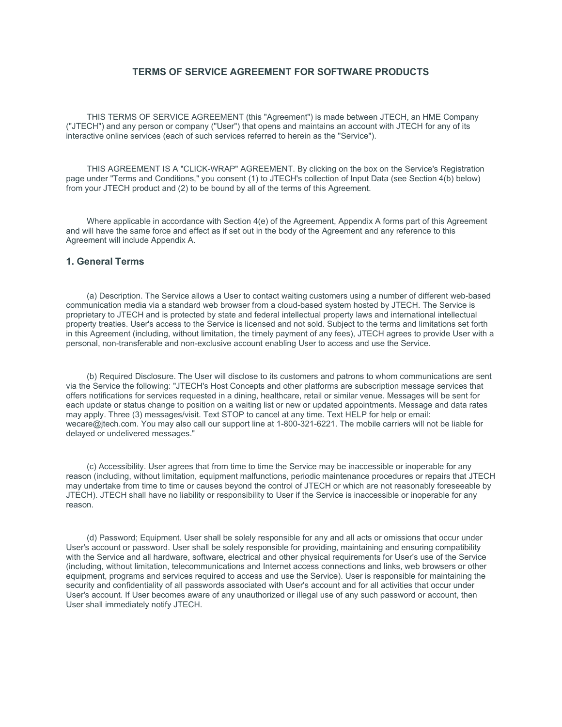## **TERMS OF SERVICE AGREEMENT FOR SOFTWARE PRODUCTS**

THIS TERMS OF SERVICE AGREEMENT (this "Agreement") is made between JTECH, an HME Company ("JTECH") and any person or company ("User") that opens and maintains an account with JTECH for any of its interactive online services (each of such services referred to herein as the "Service").

THIS AGREEMENT IS A "CLICK-WRAP" AGREEMENT. By clicking on the box on the Service's Registration page under "Terms and Conditions," you consent (1) to JTECH's collection of Input Data (see Section 4(b) below) from your JTECH product and (2) to be bound by all of the terms of this Agreement.

Where applicable in accordance with Section 4(e) of the Agreement, Appendix A forms part of this Agreement and will have the same force and effect as if set out in the body of the Agreement and any reference to this Agreement will include Appendix A.

### **1. General Terms**

(a) Description. The Service allows a User to contact waiting customers using a number of different web-based communication media via a standard web browser from a cloud-based system hosted by JTECH. The Service is proprietary to JTECH and is protected by state and federal intellectual property laws and international intellectual property treaties. User's access to the Service is licensed and not sold. Subject to the terms and limitations set forth in this Agreement (including, without limitation, the timely payment of any fees), JTECH agrees to provide User with a personal, non-transferable and non-exclusive account enabling User to access and use the Service.

(b) Required Disclosure. The User will disclose to its customers and patrons to whom communications are sent via the Service the following: "JTECH's Host Concepts and other platforms are subscription message services that offers notifications for services requested in a dining, healthcare, retail or similar venue. Messages will be sent for each update or status change to position on a waiting list or new or updated appointments. Message and data rates may apply. Three (3) messages/visit. Text STOP to cancel at any time. Text HELP for help or email: wecare@jtech.com. You may also call our support line at 1-800-321-6221. The mobile carriers will not be liable for delayed or undelivered messages."

(c) Accessibility. User agrees that from time to time the Service may be inaccessible or inoperable for any reason (including, without limitation, equipment malfunctions, periodic maintenance procedures or repairs that JTECH may undertake from time to time or causes beyond the control of JTECH or which are not reasonably foreseeable by JTECH). JTECH shall have no liability or responsibility to User if the Service is inaccessible or inoperable for any reason.

(d) Password; Equipment. User shall be solely responsible for any and all acts or omissions that occur under User's account or password. User shall be solely responsible for providing, maintaining and ensuring compatibility with the Service and all hardware, software, electrical and other physical requirements for User's use of the Service (including, without limitation, telecommunications and Internet access connections and links, web browsers or other equipment, programs and services required to access and use the Service). User is responsible for maintaining the security and confidentiality of all passwords associated with User's account and for all activities that occur under User's account. If User becomes aware of any unauthorized or illegal use of any such password or account, then User shall immediately notify JTECH.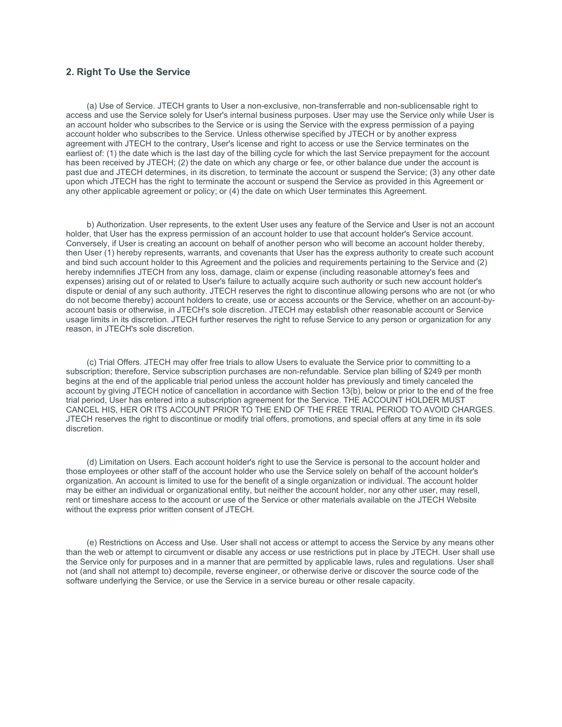## **2. Right To Use the Service**

(a) Use of Service. JTECH grants to User a non-exclusive, non-transferrable and non-sublicensable right to access and use the Service solely for User's internal business purposes. User may use the Service only while User is an account holder who subscribes to the Service or is using the Service with the express permission of a paying account holder who subscribes to the Service. Unless otherwise specified by JTECH or by another express agreement with JTECH to the contrary, User's license and right to access or use the Service terminates on the earliest of: (1) the date which is the last day of the billing cycle for which the last Service prepayment for the account has been received by JTECH; (2) the date on which any charge or fee, or other balance due under the account is past due and JTECH determines, in its discretion, to terminate the account or suspend the Service; (3) any other date upon which JTECH has the right to terminate the account or suspend the Service as provided in this Agreement or any other applicable agreement or policy; or (4) the date on which User terminates this Agreement.

b) Authorization. User represents, to the extent User uses any feature of the Service and User is not an account holder, that User has the express permission of an account holder to use that account holder's Service account. Conversely, if User is creating an account on behalf of another person who will become an account holder thereby, then User (1) hereby represents, warrants, and covenants that User has the express authority to create such account and bind such account holder to this Agreement and the policies and requirements pertaining to the Service and (2) hereby indemnifies JTECH from any loss, damage, claim or expense (including reasonable attorney's fees and expenses) arising out of or related to User's failure to actually acquire such authority or such new account holder's dispute or denial of any such authority. JTECH reserves the right to discontinue allowing persons who are not (or who do not become thereby) account holders to create, use or access accounts or the Service, whether on an account-byaccount basis or otherwise, in JTECH's sole discretion. JTECH may establish other reasonable account or Service usage limits in its discretion. JTECH further reserves the right to refuse Service to any person or organization for any reason, in JTECH's sole discretion.

(c) Trial Offers. JTECH may offer free trials to allow Users to evaluate the Service prior to committing to a subscription; therefore, Service subscription purchases are non-refundable. Service plan billing of \$249 per month begins at the end of the applicable trial period unless the account holder has previously and timely canceled the account by giving JTECH notice of cancellation in accordance with Section 13(b), below or prior to the end of the free trial period, User has entered into a subscription agreement for the Service. THE ACCOUNT HOLDER MUST CANCEL HIS, HER OR ITS ACCOUNT PRIOR TO THE END OF THE FREE TRIAL PERIOD TO AVOID CHARGES. JTECH reserves the right to discontinue or modify trial offers, promotions, and special offers at any time in its sole discretion.

(d) Limitation on Users. Each account holder's right to use the Service is personal to the account holder and those employees or other staff of the account holder who use the Service solely on behalf of the account holder's organization. An account is limited to use for the benefit of a single organization or individual. The account holder may be either an individual or organizational entity, but neither the account holder, nor any other user, may resell, rent or timeshare access to the account or use of the Service or other materials available on the JTECH Website without the express prior written consent of JTECH.

(e) Restrictions on Access and Use. User shall not access or attempt to access the Service by any means other than the web or attempt to circumvent or disable any access or use restrictions put in place by JTECH. User shall use the Service only for purposes and in a manner that are permitted by applicable laws, rules and regulations. User shall not (and shall not attempt to) decompile, reverse engineer, or otherwise derive or discover the source code of the software underlying the Service, or use the Service in a service bureau or other resale capacity.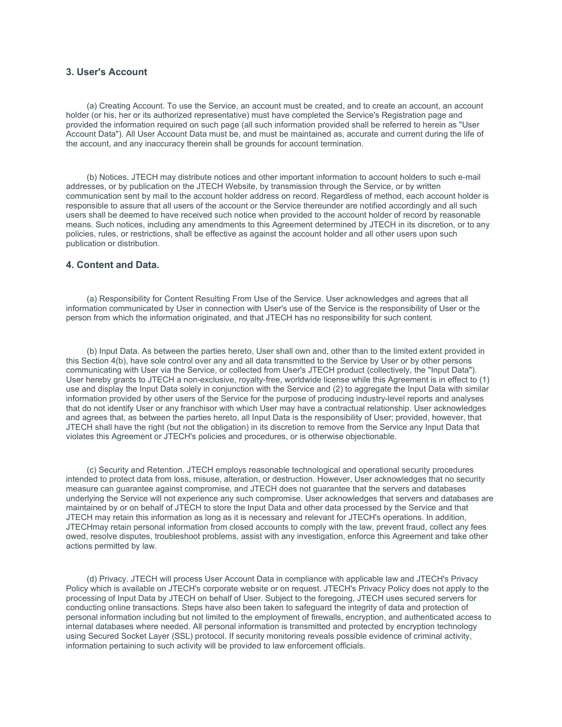## **3. User's Account**

(a) Creating Account. To use the Service, an account must be created, and to create an account, an account holder (or his, her or its authorized representative) must have completed the Service's Registration page and provided the information required on such page (all such information provided shall be referred to herein as "User Account Data"). All User Account Data must be, and must be maintained as, accurate and current during the life of the account, and any inaccuracy therein shall be grounds for account termination.

(b) Notices. JTECH may distribute notices and other important information to account holders to such e-mail addresses, or by publication on the JTECH Website, by transmission through the Service, or by written communication sent by mail to the account holder address on record. Regardless of method, each account holder is responsible to assure that all users of the account or the Service thereunder are notified accordingly and all such users shall be deemed to have received such notice when provided to the account holder of record by reasonable means. Such notices, including any amendments to this Agreement determined by JTECH in its discretion, or to any policies, rules, or restrictions, shall be effective as against the account holder and all other users upon such publication or distribution.

### **4. Content and Data.**

(a) Responsibility for Content Resulting From Use of the Service. User acknowledges and agrees that all information communicated by User in connection with User's use of the Service is the responsibility of User or the person from which the information originated, and that JTECH has no responsibility for such content.

(b) Input Data. As between the parties hereto, User shall own and, other than to the limited extent provided in this Section 4(b), have sole control over any and all data transmitted to the Service by User or by other persons communicating with User via the Service, or collected from User's JTECH product (collectively, the "Input Data"). User hereby grants to JTECH a non-exclusive, royalty-free, worldwide license while this Agreement is in effect to (1) use and display the Input Data solely in conjunction with the Service and (2) to aggregate the Input Data with similar information provided by other users of the Service for the purpose of producing industry-level reports and analyses that do not identify User or any franchisor with which User may have a contractual relationship. User acknowledges and agrees that, as between the parties hereto, all Input Data is the responsibility of User; provided, however, that JTECH shall have the right (but not the obligation) in its discretion to remove from the Service any Input Data that violates this Agreement or JTECH's policies and procedures, or is otherwise objectionable.

(c) Security and Retention. JTECH employs reasonable technological and operational security procedures intended to protect data from loss, misuse, alteration, or destruction. However, User acknowledges that no security measure can guarantee against compromise, and JTECH does not guarantee that the servers and databases underlying the Service will not experience any such compromise. User acknowledges that servers and databases are maintained by or on behalf of JTECH to store the Input Data and other data processed by the Service and that JTECH may retain this information as long as it is necessary and relevant for JTECH's operations. In addition, JTECHmay retain personal information from closed accounts to comply with the law, prevent fraud, collect any fees owed, resolve disputes, troubleshoot problems, assist with any investigation, enforce this Agreement and take other actions permitted by law.

(d) Privacy. JTECH will process User Account Data in compliance with applicable law and JTECH's Privacy Policy which is available on JTECH's corporate website or on request. JTECH's Privacy Policy does not apply to the processing of Input Data by JTECH on behalf of User. Subject to the foregoing, JTECH uses secured servers for conducting online transactions. Steps have also been taken to safeguard the integrity of data and protection of personal information including but not limited to the employment of firewalls, encryption, and authenticated access to internal databases where needed. All personal information is transmitted and protected by encryption technology using Secured Socket Layer (SSL) protocol. If security monitoring reveals possible evidence of criminal activity, information pertaining to such activity will be provided to law enforcement officials.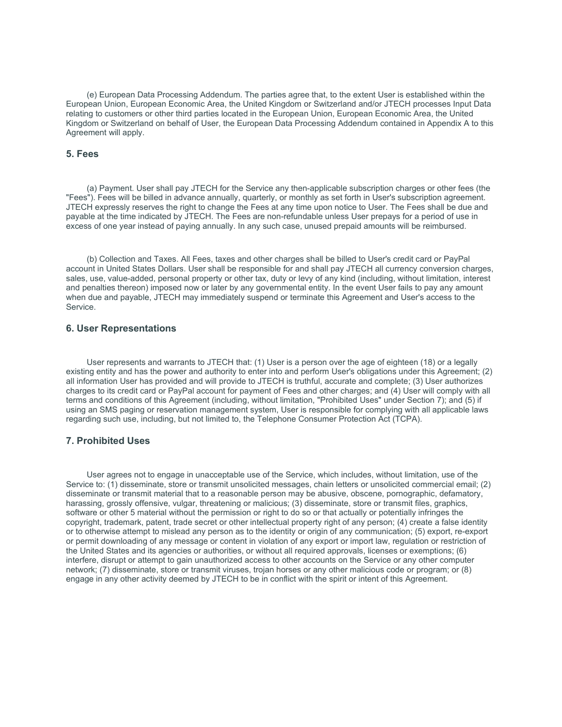(e) European Data Processing Addendum. The parties agree that, to the extent User is established within the European Union, European Economic Area, the United Kingdom or Switzerland and/or JTECH processes Input Data relating to customers or other third parties located in the European Union, European Economic Area, the United Kingdom or Switzerland on behalf of User, the European Data Processing Addendum contained in Appendix A to this Agreement will apply.

### **5. Fees**

(a) Payment. User shall pay JTECH for the Service any then-applicable subscription charges or other fees (the "Fees"). Fees will be billed in advance annually, quarterly, or monthly as set forth in User's subscription agreement. JTECH expressly reserves the right to change the Fees at any time upon notice to User. The Fees shall be due and payable at the time indicated by JTECH. The Fees are non-refundable unless User prepays for a period of use in excess of one year instead of paying annually. In any such case, unused prepaid amounts will be reimbursed.

(b) Collection and Taxes. All Fees, taxes and other charges shall be billed to User's credit card or PayPal account in United States Dollars. User shall be responsible for and shall pay JTECH all currency conversion charges, sales, use, value-added, personal property or other tax, duty or levy of any kind (including, without limitation, interest and penalties thereon) imposed now or later by any governmental entity. In the event User fails to pay any amount when due and payable, JTECH may immediately suspend or terminate this Agreement and User's access to the Service.

### **6. User Representations**

User represents and warrants to JTECH that: (1) User is a person over the age of eighteen (18) or a legally existing entity and has the power and authority to enter into and perform User's obligations under this Agreement; (2) all information User has provided and will provide to JTECH is truthful, accurate and complete; (3) User authorizes charges to its credit card or PayPal account for payment of Fees and other charges; and (4) User will comply with all terms and conditions of this Agreement (including, without limitation, "Prohibited Uses" under Section 7); and (5) if using an SMS paging or reservation management system, User is responsible for complying with all applicable laws regarding such use, including, but not limited to, the Telephone Consumer Protection Act (TCPA).

#### **7. Prohibited Uses**

User agrees not to engage in unacceptable use of the Service, which includes, without limitation, use of the Service to: (1) disseminate, store or transmit unsolicited messages, chain letters or unsolicited commercial email; (2) disseminate or transmit material that to a reasonable person may be abusive, obscene, pornographic, defamatory, harassing, grossly offensive, vulgar, threatening or malicious; (3) disseminate, store or transmit files, graphics, software or other 5 material without the permission or right to do so or that actually or potentially infringes the copyright, trademark, patent, trade secret or other intellectual property right of any person; (4) create a false identity or to otherwise attempt to mislead any person as to the identity or origin of any communication; (5) export, re-export or permit downloading of any message or content in violation of any export or import law, regulation or restriction of the United States and its agencies or authorities, or without all required approvals, licenses or exemptions; (6) interfere, disrupt or attempt to gain unauthorized access to other accounts on the Service or any other computer network; (7) disseminate, store or transmit viruses, trojan horses or any other malicious code or program; or (8) engage in any other activity deemed by JTECH to be in conflict with the spirit or intent of this Agreement.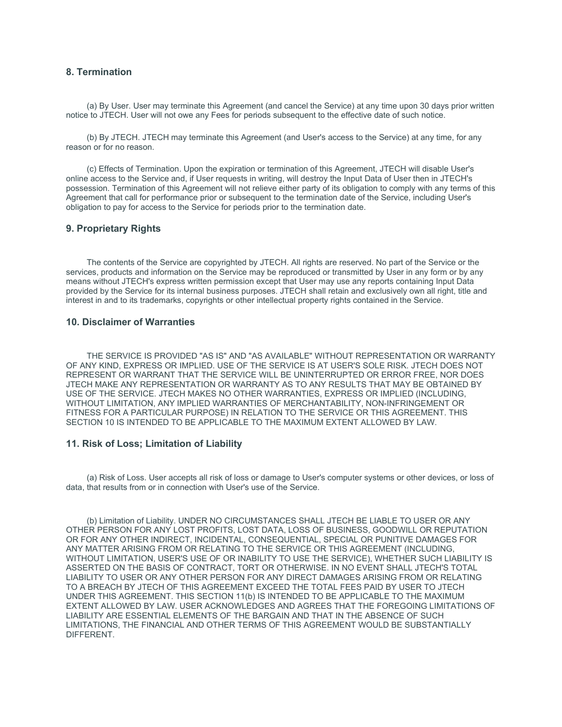# **8. Termination**

(a) By User. User may terminate this Agreement (and cancel the Service) at any time upon 30 days prior written notice to JTECH. User will not owe any Fees for periods subsequent to the effective date of such notice.

(b) By JTECH. JTECH may terminate this Agreement (and User's access to the Service) at any time, for any reason or for no reason.

(c) Effects of Termination. Upon the expiration or termination of this Agreement, JTECH will disable User's online access to the Service and, if User requests in writing, will destroy the Input Data of User then in JTECH's possession. Termination of this Agreement will not relieve either party of its obligation to comply with any terms of this Agreement that call for performance prior or subsequent to the termination date of the Service, including User's obligation to pay for access to the Service for periods prior to the termination date.

### **9. Proprietary Rights**

The contents of the Service are copyrighted by JTECH. All rights are reserved. No part of the Service or the services, products and information on the Service may be reproduced or transmitted by User in any form or by any means without JTECH's express written permission except that User may use any reports containing Input Data provided by the Service for its internal business purposes. JTECH shall retain and exclusively own all right, title and interest in and to its trademarks, copyrights or other intellectual property rights contained in the Service.

#### **10. Disclaimer of Warranties**

THE SERVICE IS PROVIDED "AS IS" AND "AS AVAILABLE" WITHOUT REPRESENTATION OR WARRANTY OF ANY KIND, EXPRESS OR IMPLIED. USE OF THE SERVICE IS AT USER'S SOLE RISK. JTECH DOES NOT REPRESENT OR WARRANT THAT THE SERVICE WILL BE UNINTERRUPTED OR ERROR FREE, NOR DOES JTECH MAKE ANY REPRESENTATION OR WARRANTY AS TO ANY RESULTS THAT MAY BE OBTAINED BY USE OF THE SERVICE. JTECH MAKES NO OTHER WARRANTIES, EXPRESS OR IMPLIED (INCLUDING, WITHOUT LIMITATION, ANY IMPLIED WARRANTIES OF MERCHANTABILITY, NON-INFRINGEMENT OR FITNESS FOR A PARTICULAR PURPOSE) IN RELATION TO THE SERVICE OR THIS AGREEMENT. THIS SECTION 10 IS INTENDED TO BE APPLICABLE TO THE MAXIMUM EXTENT ALLOWED BY LAW.

### **11. Risk of Loss; Limitation of Liability**

(a) Risk of Loss. User accepts all risk of loss or damage to User's computer systems or other devices, or loss of data, that results from or in connection with User's use of the Service.

(b) Limitation of Liability. UNDER NO CIRCUMSTANCES SHALL JTECH BE LIABLE TO USER OR ANY OTHER PERSON FOR ANY LOST PROFITS, LOST DATA, LOSS OF BUSINESS, GOODWILL OR REPUTATION OR FOR ANY OTHER INDIRECT, INCIDENTAL, CONSEQUENTIAL, SPECIAL OR PUNITIVE DAMAGES FOR ANY MATTER ARISING FROM OR RELATING TO THE SERVICE OR THIS AGREEMENT (INCLUDING, WITHOUT LIMITATION, USER'S USE OF OR INABILITY TO USE THE SERVICE), WHETHER SUCH LIABILITY IS ASSERTED ON THE BASIS OF CONTRACT, TORT OR OTHERWISE. IN NO EVENT SHALL JTECH'S TOTAL LIABILITY TO USER OR ANY OTHER PERSON FOR ANY DIRECT DAMAGES ARISING FROM OR RELATING TO A BREACH BY JTECH OF THIS AGREEMENT EXCEED THE TOTAL FEES PAID BY USER TO JTECH UNDER THIS AGREEMENT. THIS SECTION 11(b) IS INTENDED TO BE APPLICABLE TO THE MAXIMUM EXTENT ALLOWED BY LAW. USER ACKNOWLEDGES AND AGREES THAT THE FOREGOING LIMITATIONS OF LIABILITY ARE ESSENTIAL ELEMENTS OF THE BARGAIN AND THAT IN THE ABSENCE OF SUCH LIMITATIONS, THE FINANCIAL AND OTHER TERMS OF THIS AGREEMENT WOULD BE SUBSTANTIALLY DIFFERENT.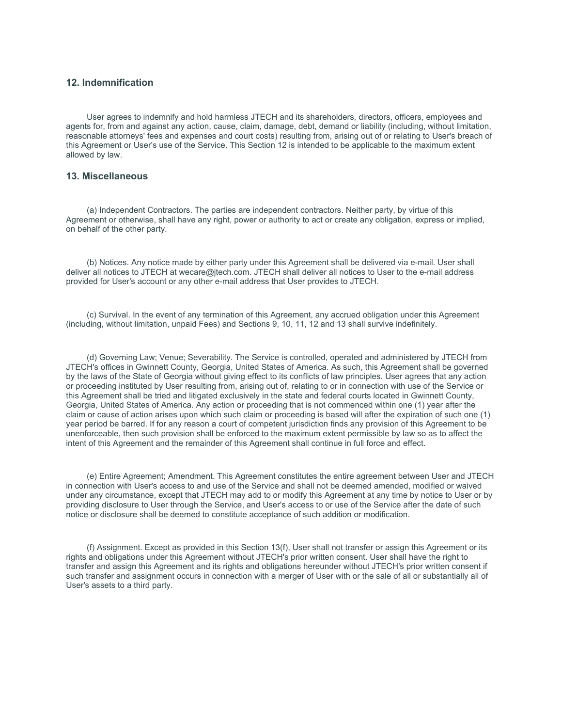## **12. Indemnification**

User agrees to indemnify and hold harmless JTECH and its shareholders, directors, officers, employees and agents for, from and against any action, cause, claim, damage, debt, demand or liability (including, without limitation, reasonable attorneys' fees and expenses and court costs) resulting from, arising out of or relating to User's breach of this Agreement or User's use of the Service. This Section 12 is intended to be applicable to the maximum extent allowed by law.

## **13. Miscellaneous**

(a) Independent Contractors. The parties are independent contractors. Neither party, by virtue of this Agreement or otherwise, shall have any right, power or authority to act or create any obligation, express or implied, on behalf of the other party.

(b) Notices. Any notice made by either party under this Agreement shall be delivered via e-mail. User shall deliver all notices to JTECH at wecare@jtech.com. JTECH shall deliver all notices to User to the e-mail address provided for User's account or any other e-mail address that User provides to JTECH.

(c) Survival. In the event of any termination of this Agreement, any accrued obligation under this Agreement (including, without limitation, unpaid Fees) and Sections 9, 10, 11, 12 and 13 shall survive indefinitely.

(d) Governing Law; Venue; Severability. The Service is controlled, operated and administered by JTECH from JTECH's offices in Gwinnett County, Georgia, United States of America. As such, this Agreement shall be governed by the laws of the State of Georgia without giving effect to its conflicts of law principles. User agrees that any action or proceeding instituted by User resulting from, arising out of, relating to or in connection with use of the Service or this Agreement shall be tried and litigated exclusively in the state and federal courts located in Gwinnett County, Georgia, United States of America. Any action or proceeding that is not commenced within one (1) year after the claim or cause of action arises upon which such claim or proceeding is based will after the expiration of such one (1) year period be barred. If for any reason a court of competent jurisdiction finds any provision of this Agreement to be unenforceable, then such provision shall be enforced to the maximum extent permissible by law so as to affect the intent of this Agreement and the remainder of this Agreement shall continue in full force and effect.

(e) Entire Agreement; Amendment. This Agreement constitutes the entire agreement between User and JTECH in connection with User's access to and use of the Service and shall not be deemed amended, modified or waived under any circumstance, except that JTECH may add to or modify this Agreement at any time by notice to User or by providing disclosure to User through the Service, and User's access to or use of the Service after the date of such notice or disclosure shall be deemed to constitute acceptance of such addition or modification.

(f) Assignment. Except as provided in this Section 13(f), User shall not transfer or assign this Agreement or its rights and obligations under this Agreement without JTECH's prior written consent. User shall have the right to transfer and assign this Agreement and its rights and obligations hereunder without JTECH's prior written consent if such transfer and assignment occurs in connection with a merger of User with or the sale of all or substantially all of User's assets to a third party.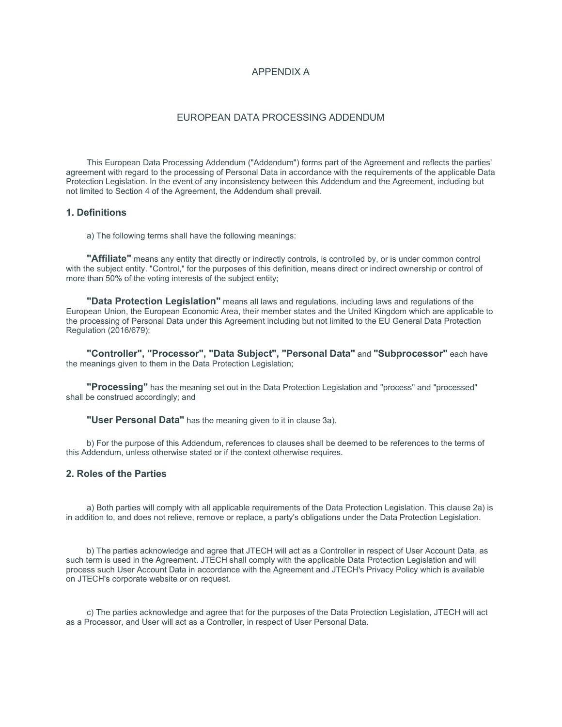## APPENDIX A

### EUROPEAN DATA PROCESSING ADDENDUM

This European Data Processing Addendum ("Addendum") forms part of the Agreement and reflects the parties' agreement with regard to the processing of Personal Data in accordance with the requirements of the applicable Data Protection Legislation. In the event of any inconsistency between this Addendum and the Agreement, including but not limited to Section 4 of the Agreement, the Addendum shall prevail.

## **1. Definitions**

a) The following terms shall have the following meanings:

"Affiliate" means any entity that directly or indirectly controls, is controlled by, or is under common control with the subject entity. "Control," for the purposes of this definition, means direct or indirect ownership or control of more than 50% of the voting interests of the subject entity;

**"Data Protection Legislation"** means all laws and regulations, including laws and regulations of the European Union, the European Economic Area, their member states and the United Kingdom which are applicable to the processing of Personal Data under this Agreement including but not limited to the EU General Data Protection Regulation (2016/679);

**"Controller", "Processor", "Data Subject", "Personal Data"** and **"Subprocessor"** each have the meanings given to them in the Data Protection Legislation;

**"Processing"** has the meaning set out in the Data Protection Legislation and "process" and "processed" shall be construed accordingly; and

**"User Personal Data"** has the meaning given to it in clause 3a).

b) For the purpose of this Addendum, references to clauses shall be deemed to be references to the terms of this Addendum, unless otherwise stated or if the context otherwise requires.

## **2. Roles of the Parties**

a) Both parties will comply with all applicable requirements of the Data Protection Legislation. This clause 2a) is in addition to, and does not relieve, remove or replace, a party's obligations under the Data Protection Legislation.

b) The parties acknowledge and agree that JTECH will act as a Controller in respect of User Account Data, as such term is used in the Agreement. JTECH shall comply with the applicable Data Protection Legislation and will process such User Account Data in accordance with the Agreement and JTECH's Privacy Policy which is available on JTECH's corporate website or on request.

c) The parties acknowledge and agree that for the purposes of the Data Protection Legislation, JTECH will act as a Processor, and User will act as a Controller, in respect of User Personal Data.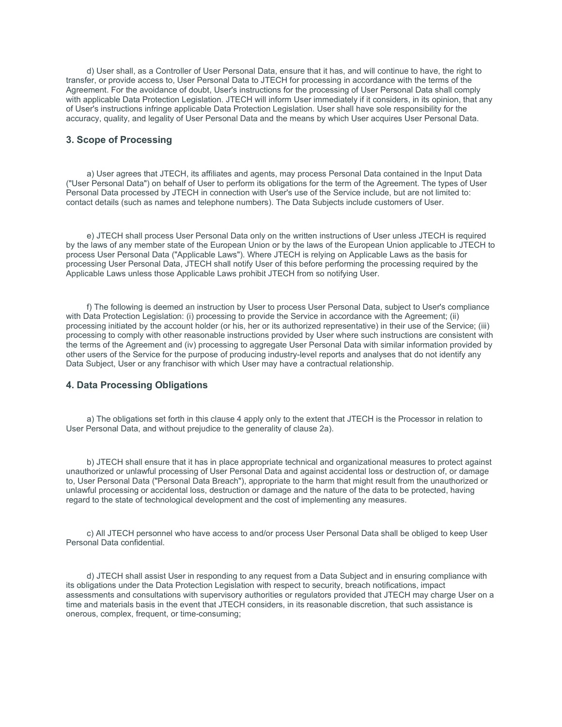d) User shall, as a Controller of User Personal Data, ensure that it has, and will continue to have, the right to transfer, or provide access to, User Personal Data to JTECH for processing in accordance with the terms of the Agreement. For the avoidance of doubt, User's instructions for the processing of User Personal Data shall comply with applicable Data Protection Legislation. JTECH will inform User immediately if it considers, in its opinion, that any of User's instructions infringe applicable Data Protection Legislation. User shall have sole responsibility for the accuracy, quality, and legality of User Personal Data and the means by which User acquires User Personal Data.

#### **3. Scope of Processing**

a) User agrees that JTECH, its affiliates and agents, may process Personal Data contained in the Input Data ("User Personal Data") on behalf of User to perform its obligations for the term of the Agreement. The types of User Personal Data processed by JTECH in connection with User's use of the Service include, but are not limited to: contact details (such as names and telephone numbers). The Data Subjects include customers of User.

e) JTECH shall process User Personal Data only on the written instructions of User unless JTECH is required by the laws of any member state of the European Union or by the laws of the European Union applicable to JTECH to process User Personal Data ("Applicable Laws"). Where JTECH is relying on Applicable Laws as the basis for processing User Personal Data, JTECH shall notify User of this before performing the processing required by the Applicable Laws unless those Applicable Laws prohibit JTECH from so notifying User.

f) The following is deemed an instruction by User to process User Personal Data, subject to User's compliance with Data Protection Legislation: (i) processing to provide the Service in accordance with the Agreement; (ii) processing initiated by the account holder (or his, her or its authorized representative) in their use of the Service; (iii) processing to comply with other reasonable instructions provided by User where such instructions are consistent with the terms of the Agreement and (iv) processing to aggregate User Personal Data with similar information provided by other users of the Service for the purpose of producing industry-level reports and analyses that do not identify any Data Subject, User or any franchisor with which User may have a contractual relationship.

# **4. Data Processing Obligations**

a) The obligations set forth in this clause 4 apply only to the extent that JTECH is the Processor in relation to User Personal Data, and without prejudice to the generality of clause 2a).

b) JTECH shall ensure that it has in place appropriate technical and organizational measures to protect against unauthorized or unlawful processing of User Personal Data and against accidental loss or destruction of, or damage to, User Personal Data ("Personal Data Breach"), appropriate to the harm that might result from the unauthorized or unlawful processing or accidental loss, destruction or damage and the nature of the data to be protected, having regard to the state of technological development and the cost of implementing any measures.

c) All JTECH personnel who have access to and/or process User Personal Data shall be obliged to keep User Personal Data confidential.

d) JTECH shall assist User in responding to any request from a Data Subject and in ensuring compliance with its obligations under the Data Protection Legislation with respect to security, breach notifications, impact assessments and consultations with supervisory authorities or regulators provided that JTECH may charge User on a time and materials basis in the event that JTECH considers, in its reasonable discretion, that such assistance is onerous, complex, frequent, or time-consuming;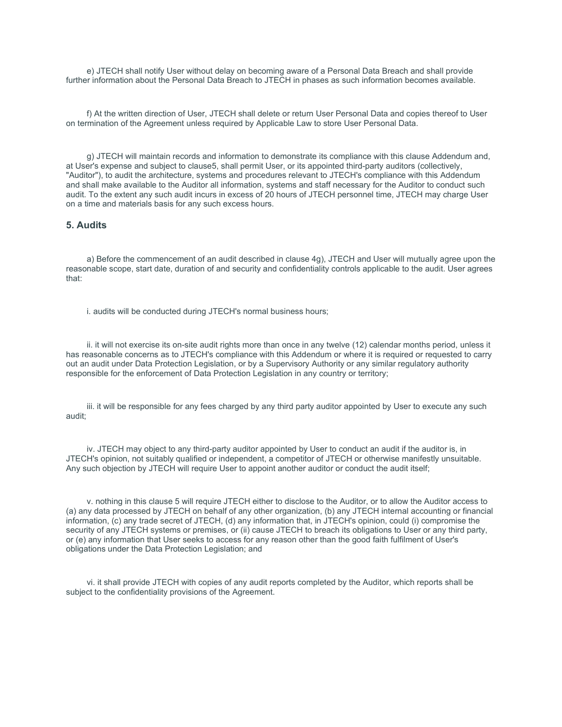e) JTECH shall notify User without delay on becoming aware of a Personal Data Breach and shall provide further information about the Personal Data Breach to JTECH in phases as such information becomes available.

f) At the written direction of User, JTECH shall delete or return User Personal Data and copies thereof to User on termination of the Agreement unless required by Applicable Law to store User Personal Data.

g) JTECH will maintain records and information to demonstrate its compliance with this clause Addendum and, at User's expense and subject to clause5, shall permit User, or its appointed third-party auditors (collectively, "Auditor"), to audit the architecture, systems and procedures relevant to JTECH's compliance with this Addendum and shall make available to the Auditor all information, systems and staff necessary for the Auditor to conduct such audit. To the extent any such audit incurs in excess of 20 hours of JTECH personnel time, JTECH may charge User on a time and materials basis for any such excess hours.

#### **5. Audits**

a) Before the commencement of an audit described in clause 4g), JTECH and User will mutually agree upon the reasonable scope, start date, duration of and security and confidentiality controls applicable to the audit. User agrees that:

i. audits will be conducted during JTECH's normal business hours;

ii. it will not exercise its on-site audit rights more than once in any twelve (12) calendar months period, unless it has reasonable concerns as to JTECH's compliance with this Addendum or where it is required or requested to carry out an audit under Data Protection Legislation, or by a Supervisory Authority or any similar regulatory authority responsible for the enforcement of Data Protection Legislation in any country or territory;

iii. it will be responsible for any fees charged by any third party auditor appointed by User to execute any such audit;

iv. JTECH may object to any third-party auditor appointed by User to conduct an audit if the auditor is, in JTECH's opinion, not suitably qualified or independent, a competitor of JTECH or otherwise manifestly unsuitable. Any such objection by JTECH will require User to appoint another auditor or conduct the audit itself;

v. nothing in this clause 5 will require JTECH either to disclose to the Auditor, or to allow the Auditor access to (a) any data processed by JTECH on behalf of any other organization, (b) any JTECH internal accounting or financial information, (c) any trade secret of JTECH, (d) any information that, in JTECH's opinion, could (i) compromise the security of any JTECH systems or premises, or (ii) cause JTECH to breach its obligations to User or any third party, or (e) any information that User seeks to access for any reason other than the good faith fulfilment of User's obligations under the Data Protection Legislation; and

vi. it shall provide JTECH with copies of any audit reports completed by the Auditor, which reports shall be subject to the confidentiality provisions of the Agreement.